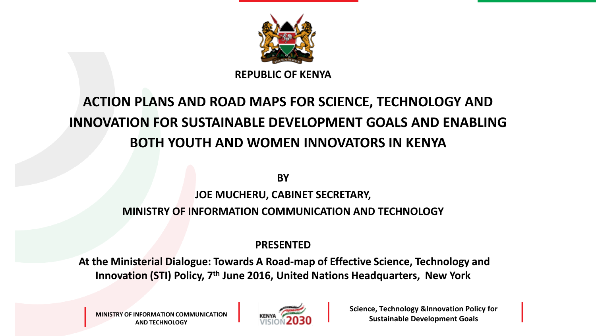

**REPUBLIC OF KENYA**

#### **ACTION PLANS AND ROAD MAPS FOR SCIENCE, TECHNOLOGY AND INNOVATION FOR SUSTAINABLE DEVELOPMENT GOALS AND ENABLING BOTH YOUTH AND WOMEN INNOVATORS IN KENYA**

**BY** 

#### **JOE MUCHERU, CABINET SECRETARY,**

#### **MINISTRY OF INFORMATION COMMUNICATION AND TECHNOLOGY**

#### **PRESENTED**

**At the Ministerial Dialogue: Towards A Road-map of Effective Science, Technology and Innovation (STI) Policy, 7th June 2016, United Nations Headquarters, New York**

**MINISTRY OF INFORMATION COMMUNICATION AND TECHNOLOGY**



**Science, Technology &Innovation Policy for Sustainable Development Goals**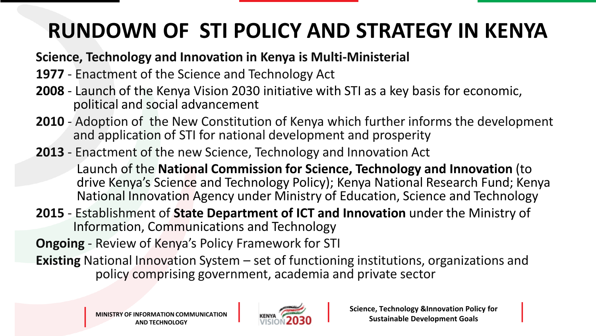## **RUNDOWN OF STI POLICY AND STRATEGY IN KENYA**

#### **Science, Technology and Innovation in Kenya is Multi-Ministerial**

- **1977** Enactment of the Science and Technology Act
- **2008** Launch of the Kenya Vision 2030 initiative with STI as a key basis for economic, political and social advancement
- **2010** Adoption of the New Constitution of Kenya which further informs the development and application of STI for national development and prosperity
- **2013** Enactment of the new Science, Technology and Innovation Act

Launch of the **National Commission for Science, Technology and Innovation** (to drive Kenya's Science and Technology Policy); Kenya National Research Fund; Kenya National Innovation Agency under Ministry of Education, Science and Technology

**2015** - Establishment of **State Department of ICT and Innovation** under the Ministry of Information, Communications and Technology

**Ongoing** - Review of Kenya's Policy Framework for STI

**Existing** National Innovation System – set of functioning institutions, organizations and policy comprising government, academia and private sector

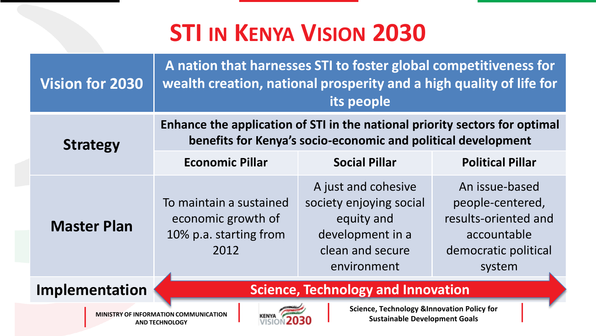## **STI IN KENYA VISION 2030**

| <b>Vision for 2030</b>                                      | wealth creation, national prosperity and a high quality of life for                                                                          | A nation that harnesses STI to foster global competitiveness for<br>its people                                      |                                                                                                             |
|-------------------------------------------------------------|----------------------------------------------------------------------------------------------------------------------------------------------|---------------------------------------------------------------------------------------------------------------------|-------------------------------------------------------------------------------------------------------------|
| <b>Strategy</b>                                             | Enhance the application of STI in the national priority sectors for optimal<br>benefits for Kenya's socio-economic and political development |                                                                                                                     |                                                                                                             |
|                                                             | <b>Economic Pillar</b>                                                                                                                       | <b>Social Pillar</b>                                                                                                | <b>Political Pillar</b>                                                                                     |
| <b>Master Plan</b>                                          | To maintain a sustained<br>economic growth of<br>10% p.a. starting from<br>2012                                                              | A just and cohesive<br>society enjoying social<br>equity and<br>development in a<br>clean and secure<br>environment | An issue-based<br>people-centered,<br>results-oriented and<br>accountable<br>democratic political<br>system |
| <b>Science, Technology and Innovation</b><br>Implementation |                                                                                                                                              |                                                                                                                     |                                                                                                             |
|                                                             | <b>MINISTRY OF INFORMATION COMMUNICATION</b><br><b>AND TECHNOLOGY</b>                                                                        | Science, Technology & Innovation Policy for<br><b>Sustainable Development Goals</b>                                 |                                                                                                             |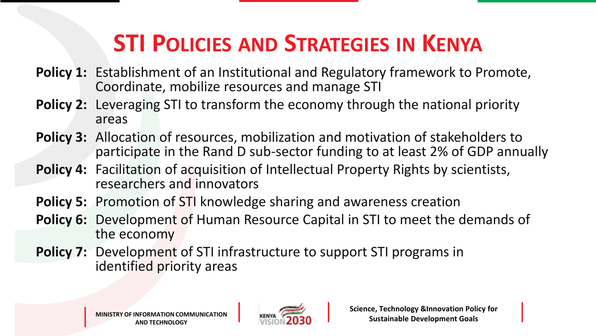# **STI POLICIES AND STRATEGIES IN KENYA**

- **Policy 1:** Establishment of an Institutional and Regulatory framework to Promote, Coordinate, mobilize resources and manage STI
- **Policy 2:** Leveraging STI to transform the economy through the national priority areas
- **Policy 3:** Allocation of resources, mobilization and motivation of stakeholders to participate in the Rand D sub-sector funding to at least 2% of GDP annually
- **Policy 4:** Facilitation of acquisition of Intellectual Property Rights by scientists, researchers and innovators
- **Policy 5:** Promotion of STI knowledge sharing and awareness creation
- **Policy 6:** Development of Human Resource Capital in STI to meet the demands of the economy
- **Policy 7:** Development of STI infrastructure to support STI programs in identified priority areas

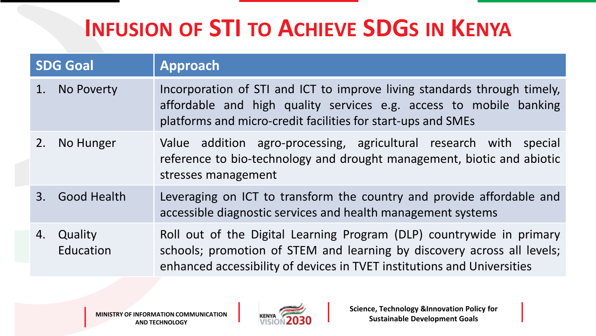|                | <b>SDG Goal</b>      | <b>Approach</b>                                                                                                                                                                                                             |
|----------------|----------------------|-----------------------------------------------------------------------------------------------------------------------------------------------------------------------------------------------------------------------------|
|                | No Poverty           | Incorporation of STI and ICT to improve living standards through timely,<br>affordable and high quality services e.g. access to mobile banking<br>platforms and micro-credit facilities for start-ups and SMEs              |
| 2.             | No Hunger            | Value addition agro-processing, agricultural research with special<br>reference to bio-technology and drought management, biotic and abiotic<br>stresses management                                                         |
| $\mathbf{3}$ . | <b>Good Health</b>   | Leveraging on ICT to transform the country and provide affordable and<br>accessible diagnostic services and health management systems                                                                                       |
| 4.             | Quality<br>Education | Roll out of the Digital Learning Program (DLP) countrywide in primary<br>schools; promotion of STEM and learning by discovery across all levels;<br>enhanced accessibility of devices in TVET institutions and Universities |

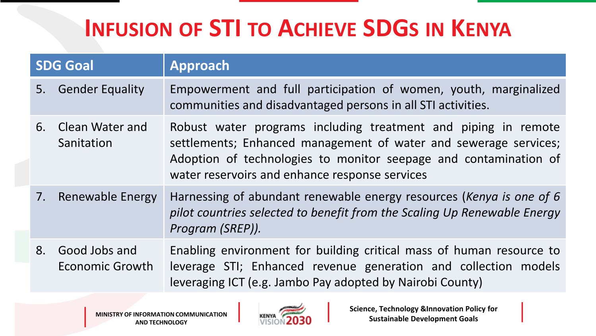| <b>SDG Goal</b> |                                         | <b>Approach</b>                                                                                                                                                                                                                                          |
|-----------------|-----------------------------------------|----------------------------------------------------------------------------------------------------------------------------------------------------------------------------------------------------------------------------------------------------------|
| 5.              | <b>Gender Equality</b>                  | Empowerment and full participation of women, youth, marginalized<br>communities and disadvantaged persons in all STI activities.                                                                                                                         |
| 6.              | <b>Clean Water and</b><br>Sanitation    | Robust water programs including treatment and piping in remote<br>settlements; Enhanced management of water and sewerage services;<br>Adoption of technologies to monitor seepage and contamination of<br>water reservoirs and enhance response services |
| 7.              | <b>Renewable Energy</b>                 | Harnessing of abundant renewable energy resources (Kenya is one of 6<br>pilot countries selected to benefit from the Scaling Up Renewable Energy<br>Program (SREP)).                                                                                     |
| 8.              | Good Jobs and<br><b>Economic Growth</b> | Enabling environment for building critical mass of human resource to<br>leverage STI; Enhanced revenue generation and collection models<br>leveraging ICT (e.g. Jambo Pay adopted by Nairobi County)                                                     |

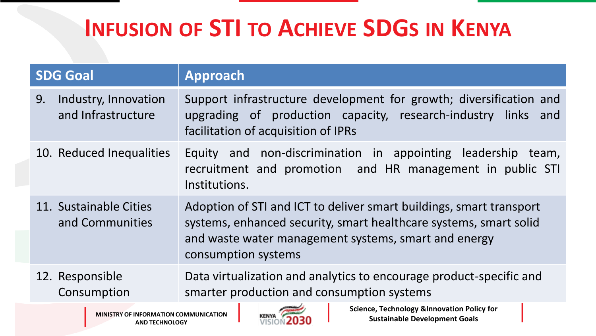| <b>SDG Goal</b> |                                            | Approach                                                                                                                                                                                                                |  |
|-----------------|--------------------------------------------|-------------------------------------------------------------------------------------------------------------------------------------------------------------------------------------------------------------------------|--|
| 9.              | Industry, Innovation<br>and Infrastructure | Support infrastructure development for growth; diversification and<br>upgrading of production capacity, research-industry links and<br>facilitation of acquisition of IPRs                                              |  |
|                 | 10. Reduced Inequalities                   | Equity and non-discrimination in appointing leadership team,<br>recruitment and promotion and HR management in public STI<br>Institutions.                                                                              |  |
|                 | 11. Sustainable Cities<br>and Communities  | Adoption of STI and ICT to deliver smart buildings, smart transport<br>systems, enhanced security, smart healthcare systems, smart solid<br>and waste water management systems, smart and energy<br>consumption systems |  |
|                 | 12. Responsible<br>Consumption             | Data virtualization and analytics to encourage product-specific and<br>smarter production and consumption systems                                                                                                       |  |

**MINISTRY OF INFORMATION COMMUNICATION AND TECHNOLOGY**



**Science, Technology &Innovation Policy for Sustainable Development Goals**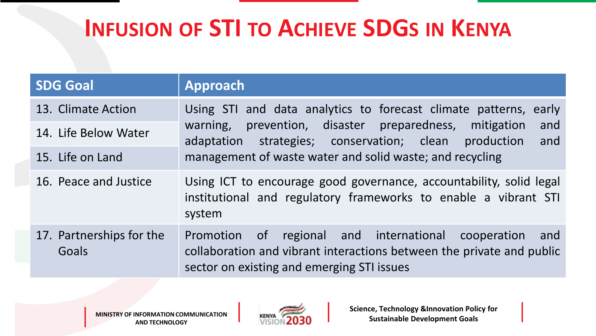| <b>SDG Goal</b>                   | <b>Approach</b>                                                                                                                                                                                                                                                        |  |
|-----------------------------------|------------------------------------------------------------------------------------------------------------------------------------------------------------------------------------------------------------------------------------------------------------------------|--|
| 13. Climate Action                | Using STI and data analytics to forecast climate patterns,<br>early<br>prevention, disaster preparedness, mitigation<br>and<br>warning,<br>strategies; conservation; clean production<br>and<br>adaptation<br>management of waste water and solid waste; and recycling |  |
| 14. Life Below Water              |                                                                                                                                                                                                                                                                        |  |
| 15. Life on Land                  |                                                                                                                                                                                                                                                                        |  |
| 16. Peace and Justice             | Using ICT to encourage good governance, accountability, solid legal<br>institutional and regulatory frameworks to enable a vibrant STI<br>system                                                                                                                       |  |
| 17. Partnerships for the<br>Goals | Promotion of regional and international<br>cooperation<br>and<br>collaboration and vibrant interactions between the private and public<br>sector on existing and emerging STI issues                                                                                   |  |

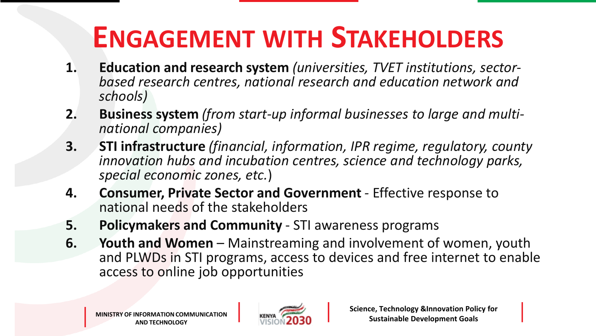# **ENGAGEMENT WITH STAKEHOLDERS**

- **1. Education and research system** *(universities, TVET institutions, sectorbased research centres, national research and education network and schools)*
- **2. Business system** *(from start-up informal businesses to large and multinational companies)*
- **3. STI infrastructure** *(financial, information, IPR regime, regulatory, county innovation hubs and incubation centres, science and technology parks, special economic zones, etc.*)
- **4. Consumer, Private Sector and Government** *-* Effective response to national needs of the stakeholders
- **5. Policymakers and Community**  STI awareness programs
- **6.** Youth and Women Mainstreaming and involvement of women, youth and PLWDs in STI programs, access to devices and free internet to enable access to online job opportunities

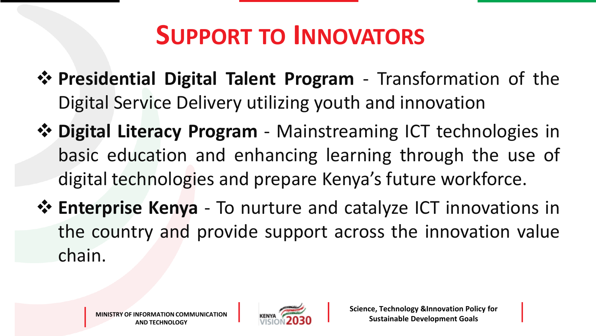# **SUPPORT TO INNOVATORS**

- **Presidential Digital Talent Program** Transformation of the Digital Service Delivery utilizing youth and innovation
- **Digital Literacy Program** Mainstreaming ICT technologies in basic education and enhancing learning through the use of digital technologies and prepare Kenya's future workforce.
- **Enterprise Kenya** To nurture and catalyze ICT innovations in the country and provide support across the innovation value chain.

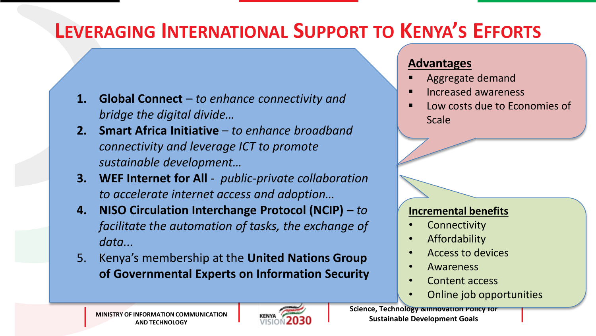#### **LEVERAGING INTERNATIONAL SUPPORT TO KENYA'S EFFORTS**

- **1. Global Connect**  *to enhance connectivity and bridge the digital divide…*
- **2. Smart Africa Initiative**  *to enhance broadband connectivity and leverage ICT to promote sustainable development…*
- **3. WEF Internet for All**  *public-private collaboration to accelerate internet access and adoption…*
- **4. NISO Circulation Interchange Protocol (NCIP) –** *to facilitate the automation of tasks, the exchange of data...*
- 5. Kenya's membership at the **United Nations Group of Governmental Experts on Information Security**

#### **Advantages**

- Aggregate demand
- Increased awareness
- Low costs due to Economies of Scale

#### **Incremental benefits**

- **Connectivity**
- Affordability
- Access to devices
- Awareness
- Content access
- Online job opportunities



**Science, Technology &Innovation Policy for Sustainable Development Goals**